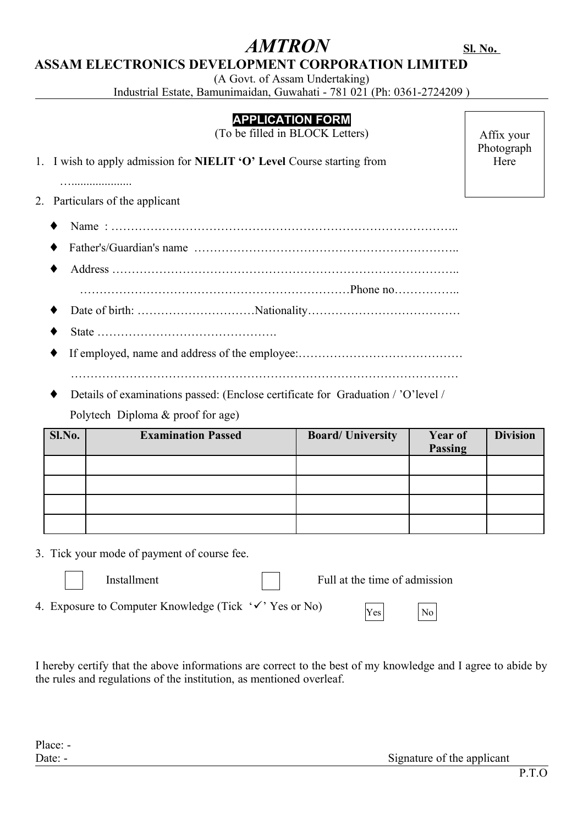# **ASSAM ELECTRONICS DEVELOPMENT CORPORATION LIMITED**

(A Govt. of Assam Undertaking)

Industrial Estate, Bamunimaidan, Guwahati - 781 021 (Ph: 0361-2724209 )

## **APPLICATION FORM**

(To be filled in BLOCK Letters)

1. I wish to apply admission for **NIELIT 'O' Level** Course starting from

…....................

2. Particulars of the applicant

- ♦ Name : ……………………………………………………………………………..
- ♦ Father's/Guardian's name …………………………………………………………..
- ♦ Address …………………………………………………………………………….. ……………………………………………………………Phone no……………..
- ♦ Date of birth: …………………………Nationality…………………………………
- ♦ State ……………………………………….
- ♦ If employed, name and address of the employee:…………………………………… ………………………………………………………………………………………
- Details of examinations passed: (Enclose certificate for Graduation / 'O'level / Polytech Diploma & proof for age)

| Sl.No. | <b>Examination Passed</b> | <b>Board/University</b> | Year of<br><b>Passing</b> | <b>Division</b> |
|--------|---------------------------|-------------------------|---------------------------|-----------------|
|        |                           |                         |                           |                 |
|        |                           |                         |                           |                 |
|        |                           |                         |                           |                 |
|        |                           |                         |                           |                 |

3. Tick your mode of payment of course fee.

Installment  $\parallel \parallel$  Full at the time of admission

4. Exposure to Computer Knowledge (Tick  $\forall$  'Yes or No)

I hereby certify that the above informations are correct to the best of my knowledge and I agree to abide by the rules and regulations of the institution, as mentioned overleaf.

Yes No

 $AMTRON$  **SI. No.** 

Affix your Photograph Here